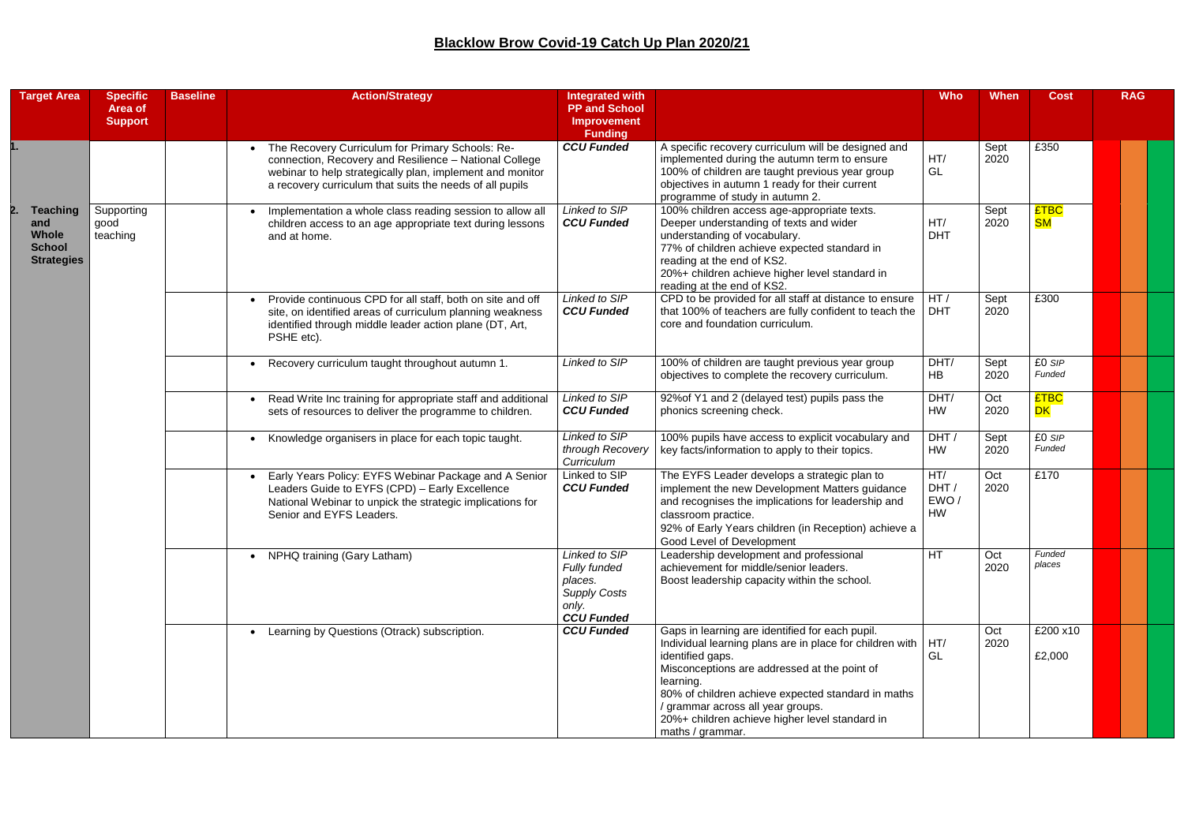| <b>Target Area</b>                                                           | <b>Specific</b><br>Area of     | <b>Baseline</b> | <b>Action/Strategy</b>                                                                                                                                                                                                              | <b>Integrated with</b><br><b>PP and School</b>                                                       |                                                                                                                                                                                                                                                                                                                                                                           | <b>Who</b>                | <b>When</b>  | <b>Cost</b>              | <b>RAG</b> |
|------------------------------------------------------------------------------|--------------------------------|-----------------|-------------------------------------------------------------------------------------------------------------------------------------------------------------------------------------------------------------------------------------|------------------------------------------------------------------------------------------------------|---------------------------------------------------------------------------------------------------------------------------------------------------------------------------------------------------------------------------------------------------------------------------------------------------------------------------------------------------------------------------|---------------------------|--------------|--------------------------|------------|
|                                                                              | <b>Support</b>                 |                 |                                                                                                                                                                                                                                     | <b>Improvement</b><br><b>Funding</b>                                                                 |                                                                                                                                                                                                                                                                                                                                                                           |                           |              |                          |            |
|                                                                              |                                |                 | The Recovery Curriculum for Primary Schools: Re-<br>connection, Recovery and Resilience - National College<br>webinar to help strategically plan, implement and monitor<br>a recovery curriculum that suits the needs of all pupils | <b>CCU Funded</b>                                                                                    | A specific recovery curriculum will be designed and<br>implemented during the autumn term to ensure<br>100% of children are taught previous year group<br>objectives in autumn 1 ready for their current<br>programme of study in autumn 2.                                                                                                                               | HT/<br>GL                 | Sept<br>2020 | £350                     |            |
| <b>Teaching</b><br>and<br><b>Whole</b><br><b>School</b><br><b>Strategies</b> | Supporting<br>good<br>teaching |                 | Implementation a whole class reading session to allow all<br>children access to an age appropriate text during lessons<br>and at home.                                                                                              | Linked to SIP<br><b>CCU Funded</b>                                                                   | 100% children access age-appropriate texts.<br>Deeper understanding of texts and wider<br>understanding of vocabulary.<br>77% of children achieve expected standard in<br>reading at the end of KS2.<br>20%+ children achieve higher level standard in<br>reading at the end of KS2.                                                                                      | HT/<br><b>DHT</b>         | Sept<br>2020 | <b>£TBC</b><br><b>SM</b> |            |
|                                                                              |                                |                 | Provide continuous CPD for all staff, both on site and off<br>site, on identified areas of curriculum planning weakness<br>identified through middle leader action plane (DT, Art,<br>PSHE etc).                                    | Linked to SIP<br><b>CCU Funded</b>                                                                   | CPD to be provided for all staff at distance to ensure<br>that 100% of teachers are fully confident to teach the<br>core and foundation curriculum.                                                                                                                                                                                                                       | HT/<br><b>DHT</b>         | Sept<br>2020 | £300                     |            |
|                                                                              |                                |                 | Recovery curriculum taught throughout autumn 1.                                                                                                                                                                                     | Linked to SIP                                                                                        | 100% of children are taught previous year group<br>objectives to complete the recovery curriculum.                                                                                                                                                                                                                                                                        | DHT/<br>HB                | Sept<br>2020 | £0 SIP<br>Funded         |            |
|                                                                              |                                |                 | Read Write Inc training for appropriate staff and additional<br>sets of resources to deliver the programme to children.                                                                                                             | Linked to SIP<br><b>CCU Funded</b>                                                                   | 92% of Y1 and 2 (delayed test) pupils pass the<br>phonics screening check.                                                                                                                                                                                                                                                                                                | DHT/<br>HW                | Oct<br>2020  | <b>£TBC</b><br><b>DK</b> |            |
|                                                                              |                                |                 | Knowledge organisers in place for each topic taught.                                                                                                                                                                                | Linked to SIP<br>through Recovery<br>Curriculum                                                      | 100% pupils have access to explicit vocabulary and<br>key facts/information to apply to their topics.                                                                                                                                                                                                                                                                     | DHT/<br>HW                | Sept<br>2020 | £0 SIP<br>Funded         |            |
|                                                                              |                                |                 | Early Years Policy: EYFS Webinar Package and A Senior<br>Leaders Guide to EYFS (CPD) - Early Excellence<br>National Webinar to unpick the strategic implications for<br>Senior and EYFS Leaders.                                    | Linked to SIP<br><b>CCU Funded</b>                                                                   | The EYFS Leader develops a strategic plan to<br>implement the new Development Matters guidance<br>and recognises the implications for leadership and<br>classroom practice.<br>92% of Early Years children (in Reception) achieve a<br>Good Level of Development                                                                                                          | HT/<br>DHT/<br>EWO/<br>HW | Oct<br>2020  | £170                     |            |
|                                                                              |                                |                 | NPHQ training (Gary Latham)                                                                                                                                                                                                         | Linked to SIP<br><b>Fully funded</b><br>places.<br><b>Supply Costs</b><br>only.<br><b>CCU Funded</b> | Leadership development and professional<br>achievement for middle/senior leaders.<br>Boost leadership capacity within the school.                                                                                                                                                                                                                                         | <b>HT</b>                 | Oct<br>2020  | Funded<br>places         |            |
|                                                                              |                                |                 | Learning by Questions (Otrack) subscription.                                                                                                                                                                                        | <b>CCU Funded</b>                                                                                    | Gaps in learning are identified for each pupil.<br>Individual learning plans are in place for children with $\vert$ HT/<br>identified gaps.<br>Misconceptions are addressed at the point of<br>learning.<br>80% of children achieve expected standard in maths<br>/ grammar across all year groups.<br>20%+ children achieve higher level standard in<br>maths / grammar. | GL                        | Oct<br>2020  | £200 x10<br>£2,000       |            |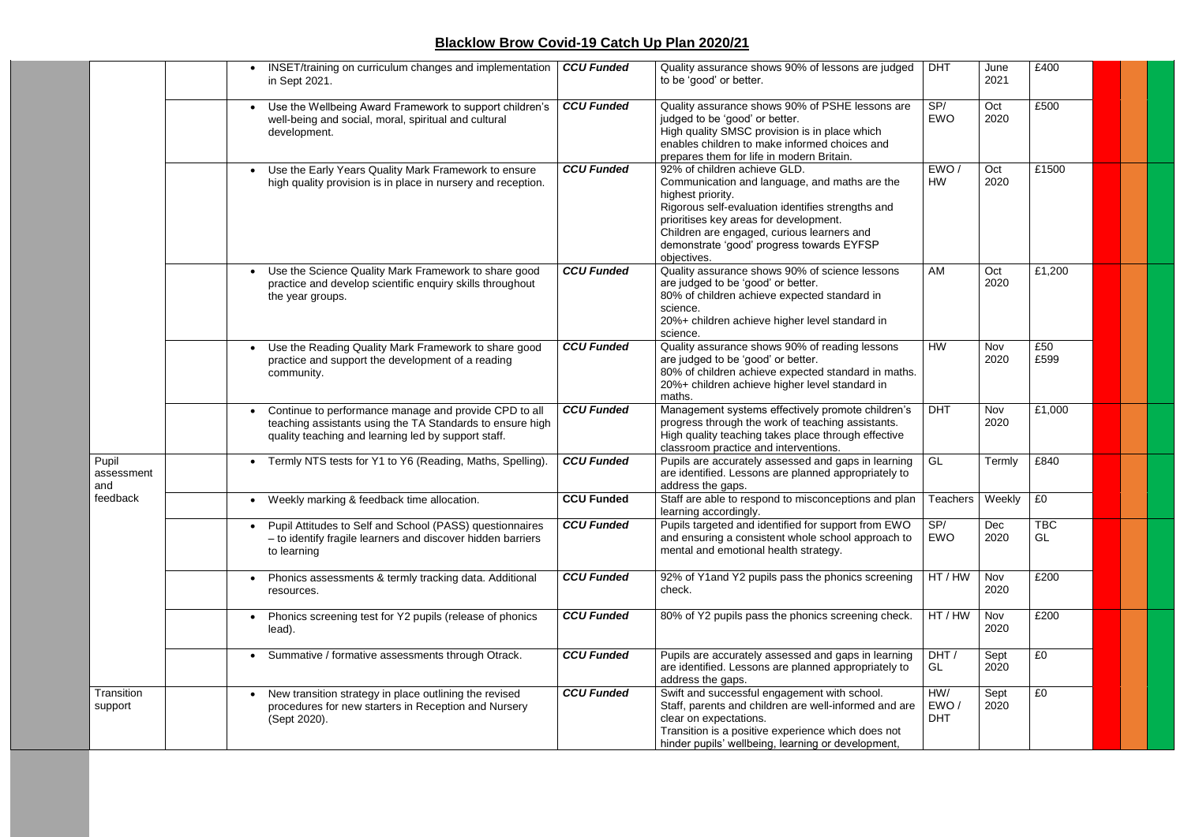|                            | INSET/training on curriculum changes and implementation<br>$\bullet$<br>in Sept 2021.                                                                                     | <b>CCU Funded</b> | Quality assurance shows 90% of lessons are judged<br>to be 'good' or better.                                                                                                                                                                                                                                | <b>DHT</b>                | June<br>2021 | £400             |  |  |
|----------------------------|---------------------------------------------------------------------------------------------------------------------------------------------------------------------------|-------------------|-------------------------------------------------------------------------------------------------------------------------------------------------------------------------------------------------------------------------------------------------------------------------------------------------------------|---------------------------|--------------|------------------|--|--|
|                            | Use the Wellbeing Award Framework to support children's<br>well-being and social, moral, spiritual and cultural<br>development.                                           | <b>CCU Funded</b> | Quality assurance shows 90% of PSHE lessons are<br>judged to be 'good' or better.<br>High quality SMSC provision is in place which<br>enables children to make informed choices and<br>prepares them for life in modern Britain.                                                                            | SP/<br><b>EWO</b>         | Oct<br>2020  | £500             |  |  |
|                            | Use the Early Years Quality Mark Framework to ensure<br>high quality provision is in place in nursery and reception.                                                      | <b>CCU Funded</b> | 92% of children achieve GLD.<br>Communication and language, and maths are the<br>highest priority.<br>Rigorous self-evaluation identifies strengths and<br>prioritises key areas for development.<br>Children are engaged, curious learners and<br>demonstrate 'good' progress towards EYFSP<br>objectives. | EWO/<br><b>HW</b>         | Oct<br>2020  | £1500            |  |  |
|                            | Use the Science Quality Mark Framework to share good<br>$\bullet$<br>practice and develop scientific enquiry skills throughout<br>the year groups.                        | <b>CCU Funded</b> | Quality assurance shows 90% of science lessons<br>are judged to be 'good' or better.<br>80% of children achieve expected standard in<br>science.<br>20%+ children achieve higher level standard in<br>science.                                                                                              | AM                        | Oct<br>2020  | £1,200           |  |  |
|                            | Use the Reading Quality Mark Framework to share good<br>practice and support the development of a reading<br>community.                                                   | <b>CCU Funded</b> | Quality assurance shows 90% of reading lessons<br>are judged to be 'good' or better.<br>80% of children achieve expected standard in maths.<br>20%+ children achieve higher level standard in<br>maths.                                                                                                     | <b>HW</b>                 | Nov<br>2020  | £50<br>£599      |  |  |
|                            | Continue to performance manage and provide CPD to all<br>teaching assistants using the TA Standards to ensure high<br>quality teaching and learning led by support staff. | <b>CCU Funded</b> | Management systems effectively promote children's<br>progress through the work of teaching assistants.<br>High quality teaching takes place through effective<br>classroom practice and interventions.                                                                                                      | <b>DHT</b>                | Nov<br>2020  | £1,000           |  |  |
| Pupil<br>assessment<br>and | Termly NTS tests for Y1 to Y6 (Reading, Maths, Spelling).<br>$\bullet$                                                                                                    | <b>CCU Funded</b> | Pupils are accurately assessed and gaps in learning<br>are identified. Lessons are planned appropriately to<br>address the gaps.                                                                                                                                                                            | GL                        | Termly       | £840             |  |  |
| feedback                   | Weekly marking & feedback time allocation.                                                                                                                                | <b>CCU Funded</b> | Staff are able to respond to misconceptions and plan   Teachers   Weekly<br>learning accordingly.                                                                                                                                                                                                           |                           |              | £0               |  |  |
|                            | Pupil Attitudes to Self and School (PASS) questionnaires<br>- to identify fragile learners and discover hidden barriers<br>to learning                                    | <b>CCU Funded</b> | Pupils targeted and identified for support from EWO<br>and ensuring a consistent whole school approach to<br>mental and emotional health strategy.                                                                                                                                                          | SP/<br>EWO                | Dec<br>2020  | <b>TBC</b><br>GL |  |  |
|                            | Phonics assessments & termly tracking data. Additional<br>resources.                                                                                                      | <b>CCU Funded</b> | 92% of Y1and Y2 pupils pass the phonics screening<br>check.                                                                                                                                                                                                                                                 | HT / HW                   | Nov<br>2020  | £200             |  |  |
|                            | Phonics screening test for Y2 pupils (release of phonics<br>lead).                                                                                                        | <b>CCU Funded</b> | 80% of Y2 pupils pass the phonics screening check.                                                                                                                                                                                                                                                          | HT / HW                   | Nov<br>2020  | £200             |  |  |
|                            | Summative / formative assessments through Otrack.                                                                                                                         | <b>CCU Funded</b> | Pupils are accurately assessed and gaps in learning<br>are identified. Lessons are planned appropriately to<br>address the gaps.                                                                                                                                                                            | DHT /<br>GL               | Sept<br>2020 | £0               |  |  |
| Transition<br>support      | New transition strategy in place outlining the revised<br>procedures for new starters in Reception and Nursery<br>(Sept 2020).                                            | <b>CCU Funded</b> | Swift and successful engagement with school.<br>Staff, parents and children are well-informed and are<br>clear on expectations.<br>Transition is a positive experience which does not<br>hinder pupils' wellbeing, learning or development,                                                                 | HW/<br>EWO/<br><b>DHT</b> | Sept<br>2020 | £0               |  |  |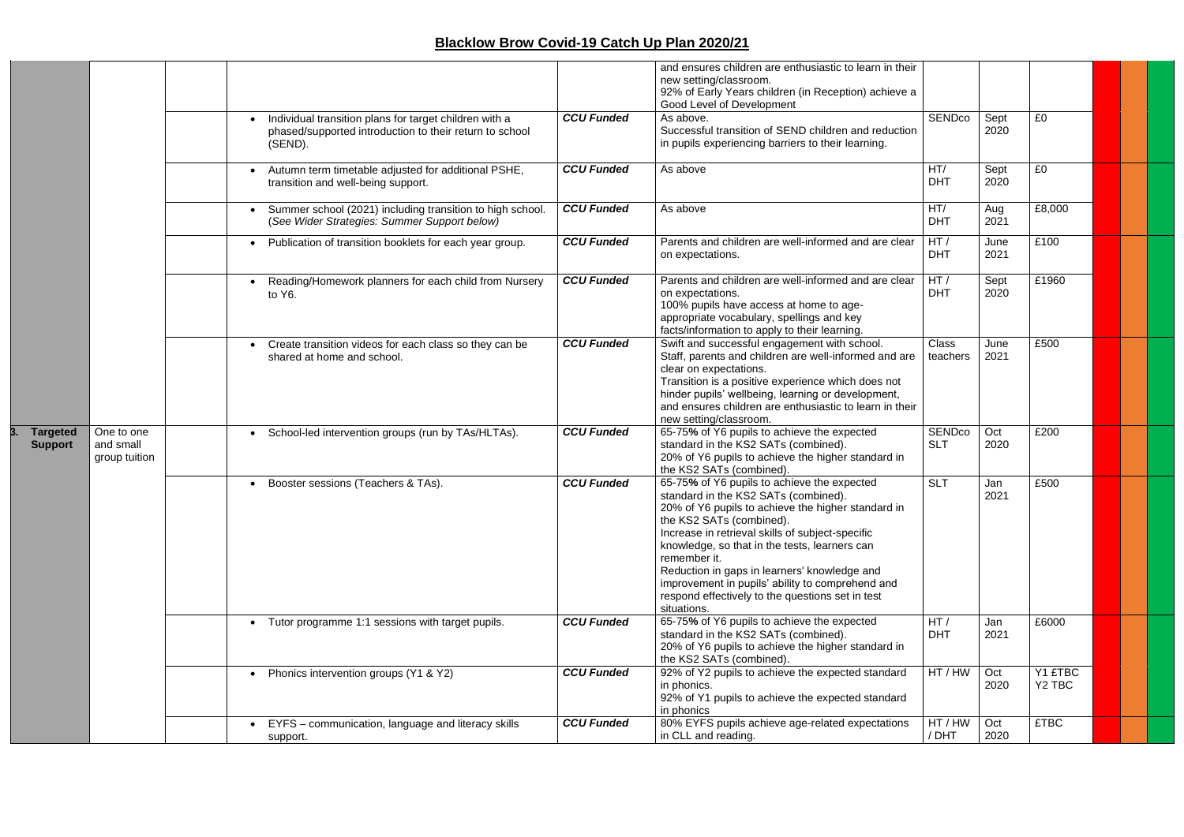|                                   |                                          | Individual transition plans for target children with a<br>phased/supported introduction to their return to school<br>(SEND).<br>Autumn term timetable adjusted for additional PSHE, | <b>CCU Funded</b><br><b>CCU Funded</b> | and ensures children are enthusiastic to learn in their<br>new setting/classroom.<br>92% of Early Years children (in Reception) achieve a<br>Good Level of Development<br>As above.<br>Successful transition of SEND children and reduction<br>in pupils experiencing barriers to their learning.<br>As above                                                                                                                                                     | SENDco<br>HT/        | Sept<br>2020<br>Sept | £0<br>£0                      |  |  |
|-----------------------------------|------------------------------------------|-------------------------------------------------------------------------------------------------------------------------------------------------------------------------------------|----------------------------------------|-------------------------------------------------------------------------------------------------------------------------------------------------------------------------------------------------------------------------------------------------------------------------------------------------------------------------------------------------------------------------------------------------------------------------------------------------------------------|----------------------|----------------------|-------------------------------|--|--|
|                                   |                                          | transition and well-being support.<br>Summer school (2021) including transition to high school.                                                                                     | <b>CCU Funded</b>                      | As above                                                                                                                                                                                                                                                                                                                                                                                                                                                          | <b>DHT</b><br>HT/    | 2020<br>Aug          | £8,000                        |  |  |
|                                   |                                          | (See Wider Strategies: Summer Support below)                                                                                                                                        |                                        |                                                                                                                                                                                                                                                                                                                                                                                                                                                                   | <b>DHT</b>           | 2021                 |                               |  |  |
|                                   |                                          | Publication of transition booklets for each year group.                                                                                                                             | <b>CCU Funded</b>                      | Parents and children are well-informed and are clear<br>on expectations.                                                                                                                                                                                                                                                                                                                                                                                          | HT/<br><b>DHT</b>    | June<br>2021         | £100                          |  |  |
|                                   |                                          | Reading/Homework planners for each child from Nursery<br>to Y6.                                                                                                                     | <b>CCU Funded</b>                      | Parents and children are well-informed and are clear<br>on expectations.<br>100% pupils have access at home to age-<br>appropriate vocabulary, spellings and key<br>facts/information to apply to their learning.                                                                                                                                                                                                                                                 | HT/<br><b>DHT</b>    | Sept<br>2020         | £1960                         |  |  |
|                                   |                                          | Create transition videos for each class so they can be<br>shared at home and school.                                                                                                | <b>CCU Funded</b>                      | Swift and successful engagement with school.<br>Staff, parents and children are well-informed and are<br>clear on expectations.<br>Transition is a positive experience which does not<br>hinder pupils' wellbeing, learning or development,<br>and ensures children are enthusiastic to learn in their<br>new setting/classroom.                                                                                                                                  | Class<br>teachers    | June<br>2021         | £500                          |  |  |
| <b>Targeted</b><br><b>Support</b> | One to one<br>and small<br>group tuition | School-led intervention groups (run by TAs/HLTAs).<br>$\bullet$                                                                                                                     | <b>CCU Funded</b>                      | 65-75% of Y6 pupils to achieve the expected<br>standard in the KS2 SATs (combined).<br>20% of Y6 pupils to achieve the higher standard in<br>the KS2 SATs (combined).                                                                                                                                                                                                                                                                                             | SENDco<br><b>SLT</b> | Oct<br>2020          | £200                          |  |  |
|                                   |                                          | Booster sessions (Teachers & TAs).                                                                                                                                                  | <b>CCU Funded</b>                      | 65-75% of Y6 pupils to achieve the expected<br>standard in the KS2 SATs (combined).<br>20% of Y6 pupils to achieve the higher standard in<br>the KS2 SATs (combined).<br>Increase in retrieval skills of subject-specific<br>knowledge, so that in the tests, learners can<br>remember it.<br>Reduction in gaps in learners' knowledge and<br>improvement in pupils' ability to comprehend and<br>respond effectively to the questions set in test<br>situations. | <b>SLT</b>           | Jan<br>2021          | £500                          |  |  |
|                                   |                                          | Tutor programme 1:1 sessions with target pupils.                                                                                                                                    | <b>CCU Funded</b>                      | 65-75% of Y6 pupils to achieve the expected<br>standard in the KS2 SATs (combined).<br>20% of Y6 pupils to achieve the higher standard in<br>the KS2 SATs (combined).                                                                                                                                                                                                                                                                                             | HT/<br><b>DHT</b>    | Jan<br>2021          | £6000                         |  |  |
|                                   |                                          | Phonics intervention groups (Y1 & Y2)<br>$\bullet$                                                                                                                                  | <b>CCU Funded</b>                      | 92% of Y2 pupils to achieve the expected standard<br>in phonics.<br>92% of Y1 pupils to achieve the expected standard<br>in phonics                                                                                                                                                                                                                                                                                                                               | HT / HW              | Oct<br>2020          | Y1 £TBC<br>Y <sub>2</sub> TBC |  |  |
|                                   |                                          | EYFS - communication, language and literacy skills<br>support.                                                                                                                      | <b>CCU Funded</b>                      | 80% EYFS pupils achieve age-related expectations<br>in CLL and reading.                                                                                                                                                                                                                                                                                                                                                                                           | HT / HW<br>/ DHT     | Oct<br>2020          | <b>£TBC</b>                   |  |  |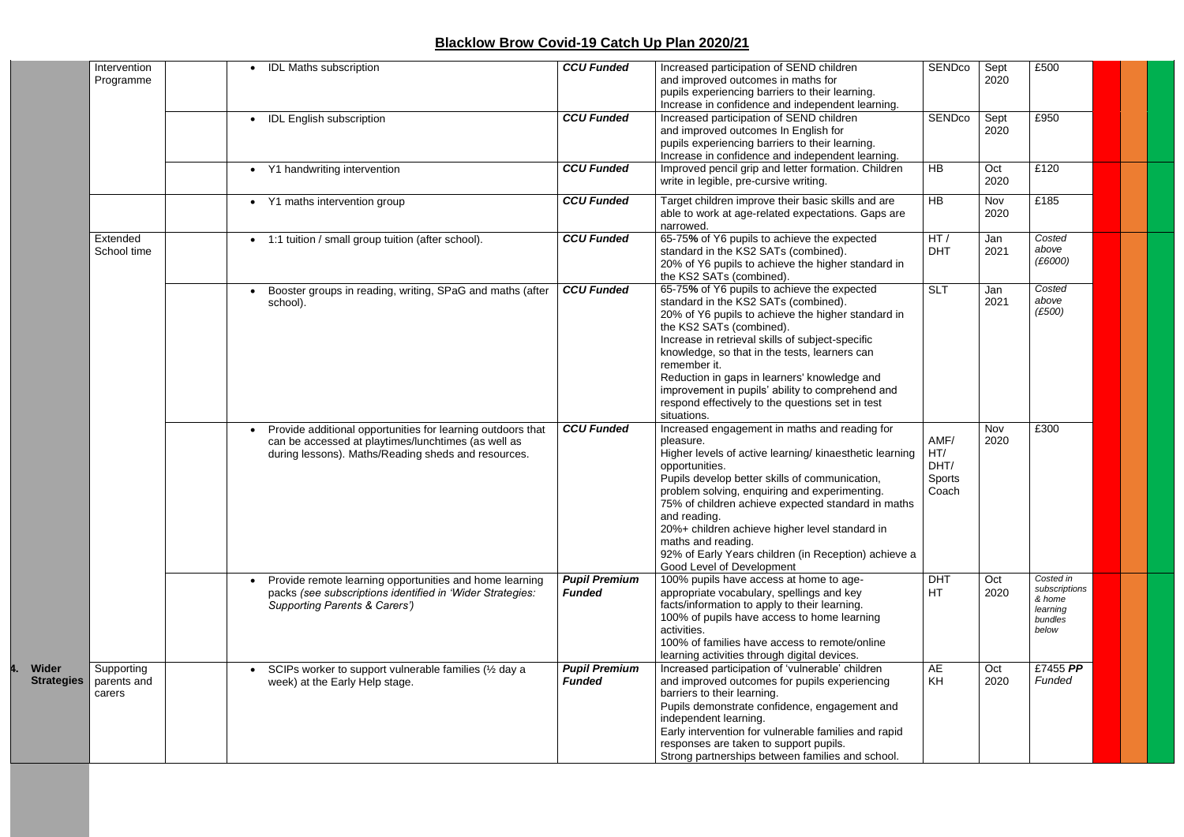|                                   | Intervention<br>Programme           | <b>IDL Maths subscription</b>                                                                                                                                             | <b>CCU Funded</b>                     | Increased participation of SEND children<br>and improved outcomes in maths for<br>pupils experiencing barriers to their learning.<br>Increase in confidence and independent learning.                                                                                                                                                                                                                                                                                         | SENDco                                 | Sept<br>2020 | £500                                                                 |  |
|-----------------------------------|-------------------------------------|---------------------------------------------------------------------------------------------------------------------------------------------------------------------------|---------------------------------------|-------------------------------------------------------------------------------------------------------------------------------------------------------------------------------------------------------------------------------------------------------------------------------------------------------------------------------------------------------------------------------------------------------------------------------------------------------------------------------|----------------------------------------|--------------|----------------------------------------------------------------------|--|
|                                   |                                     | <b>IDL English subscription</b><br>$\bullet$                                                                                                                              | <b>CCU Funded</b>                     | Increased participation of SEND children<br>and improved outcomes In English for<br>pupils experiencing barriers to their learning.<br>Increase in confidence and independent learning.                                                                                                                                                                                                                                                                                       | SENDco                                 | Sept<br>2020 | £950                                                                 |  |
|                                   |                                     | Y1 handwriting intervention                                                                                                                                               | <b>CCU Funded</b>                     | Improved pencil grip and letter formation. Children<br>write in legible, pre-cursive writing.                                                                                                                                                                                                                                                                                                                                                                                 | <b>HB</b>                              | Oct<br>2020  | £120                                                                 |  |
|                                   |                                     | Y1 maths intervention group<br>$\bullet$                                                                                                                                  | <b>CCU Funded</b>                     | Target children improve their basic skills and are<br>able to work at age-related expectations. Gaps are<br>narrowed.                                                                                                                                                                                                                                                                                                                                                         | <b>HB</b>                              | Nov<br>2020  | £185                                                                 |  |
|                                   | Extended<br>School time             | 1:1 tuition / small group tuition (after school).<br>$\bullet$                                                                                                            | <b>CCU Funded</b>                     | 65-75% of Y6 pupils to achieve the expected<br>standard in the KS2 SATs (combined).<br>20% of Y6 pupils to achieve the higher standard in<br>the KS2 SATs (combined).                                                                                                                                                                                                                                                                                                         | HT/<br><b>DHT</b>                      | Jan<br>2021  | Costed<br>above<br>(E6000)                                           |  |
|                                   |                                     | Booster groups in reading, writing, SPaG and maths (after<br>school).                                                                                                     | <b>CCU Funded</b>                     | 65-75% of Y6 pupils to achieve the expected<br>standard in the KS2 SATs (combined).<br>20% of Y6 pupils to achieve the higher standard in<br>the KS2 SATs (combined).<br>Increase in retrieval skills of subject-specific<br>knowledge, so that in the tests, learners can<br>remember it.<br>Reduction in gaps in learners' knowledge and<br>improvement in pupils' ability to comprehend and<br>respond effectively to the questions set in test<br>situations.             | <b>SLT</b>                             | Jan<br>2021  | Costed<br>above<br>(E500)                                            |  |
|                                   |                                     | Provide additional opportunities for learning outdoors that<br>can be accessed at playtimes/lunchtimes (as well as<br>during lessons). Maths/Reading sheds and resources. | <b>CCU Funded</b>                     | Increased engagement in maths and reading for<br>pleasure.<br>Higher levels of active learning/ kinaesthetic learning<br>opportunities.<br>Pupils develop better skills of communication,<br>problem solving, enquiring and experimenting.<br>75% of children achieve expected standard in maths<br>and reading.<br>20%+ children achieve higher level standard in<br>maths and reading.<br>92% of Early Years children (in Reception) achieve a<br>Good Level of Development | AMF/<br>HT/<br>DHT/<br>Sports<br>Coach | Nov<br>2020  | £300                                                                 |  |
|                                   |                                     | Provide remote learning opportunities and home learning<br>packs (see subscriptions identified in 'Wider Strategies:<br><b>Supporting Parents &amp; Carers')</b>          | <b>Pupil Premium</b><br><b>Funded</b> | 100% pupils have access at home to age-<br>appropriate vocabulary, spellings and key<br>facts/information to apply to their learning.<br>100% of pupils have access to home learning<br>activities.<br>100% of families have access to remote/online<br>learning activities through digital devices.                                                                                                                                                                          | <b>DHT</b><br><b>HT</b>                | Oct<br>2020  | Costed in<br>subscriptions<br>& home<br>learning<br>bundles<br>below |  |
| <b>Wider</b><br><b>Strategies</b> | Supporting<br>parents and<br>carers | SCIPs worker to support vulnerable families (1/2 day a<br>$\bullet$<br>week) at the Early Help stage.                                                                     | <b>Pupil Premium</b><br><b>Funded</b> | Increased participation of 'vulnerable' children<br>and improved outcomes for pupils experiencing<br>barriers to their learning.<br>Pupils demonstrate confidence, engagement and<br>independent learning.<br>Early intervention for vulnerable families and rapid<br>responses are taken to support pupils.<br>Strong partnerships between families and school.                                                                                                              | AE<br>KH                               | Oct<br>2020  | £7455 PP<br>Funded                                                   |  |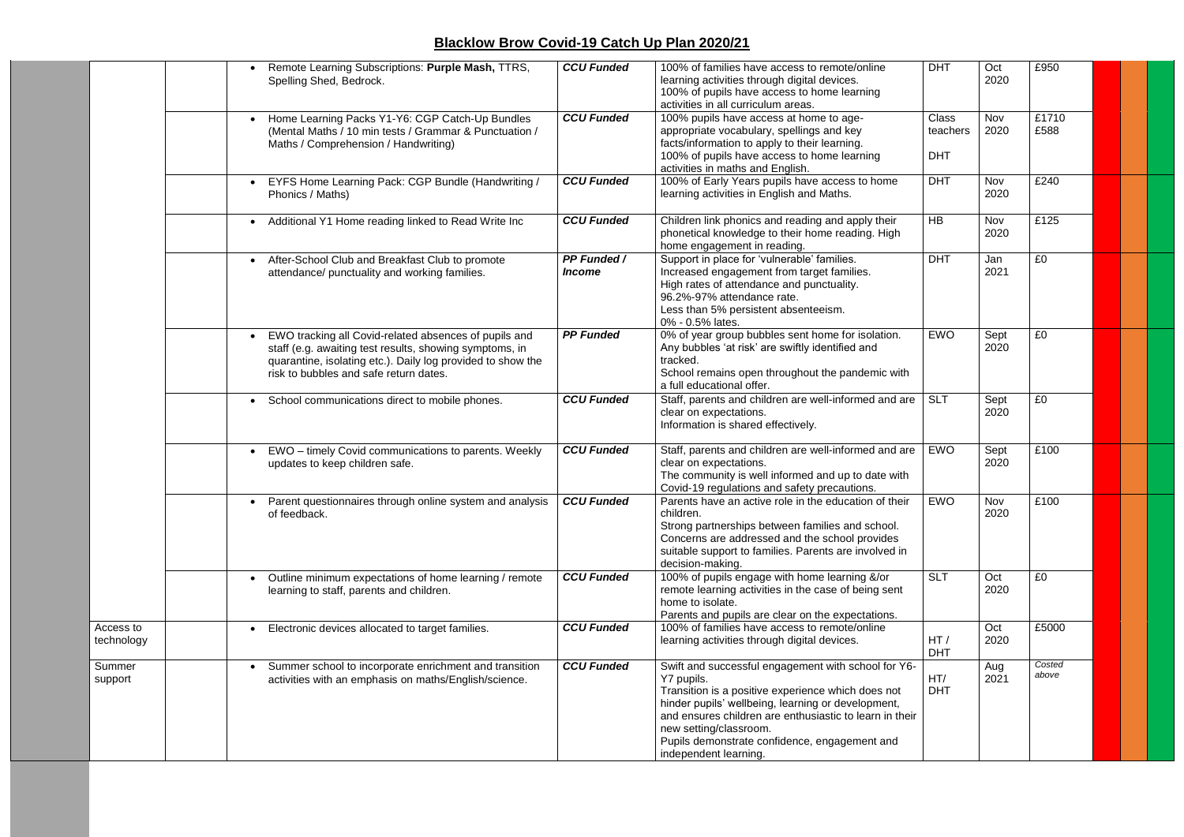|                         | Remote Learning Subscriptions: Purple Mash, TTRS,<br>Spelling Shed, Bedrock.                                                                                                                                              | <b>CCU Funded</b>                          | 100% of families have access to remote/online<br>learning activities through digital devices.<br>100% of pupils have access to home learning<br>activities in all curriculum areas.                                                                                                                                                          | <b>DHT</b>                             | Oct<br>2020  | £950            |  |  |
|-------------------------|---------------------------------------------------------------------------------------------------------------------------------------------------------------------------------------------------------------------------|--------------------------------------------|----------------------------------------------------------------------------------------------------------------------------------------------------------------------------------------------------------------------------------------------------------------------------------------------------------------------------------------------|----------------------------------------|--------------|-----------------|--|--|
|                         | Home Learning Packs Y1-Y6: CGP Catch-Up Bundles<br>(Mental Maths / 10 min tests / Grammar & Punctuation /<br>Maths / Comprehension / Handwriting)                                                                         | <b>CCU Funded</b>                          | 100% pupils have access at home to age-<br>appropriate vocabulary, spellings and key<br>facts/information to apply to their learning.<br>100% of pupils have access to home learning                                                                                                                                                         | <b>Class</b><br>teachers<br><b>DHT</b> | Nov<br>2020  | £1710<br>£588   |  |  |
|                         | EYFS Home Learning Pack: CGP Bundle (Handwriting /<br>Phonics / Maths)                                                                                                                                                    | <b>CCU Funded</b>                          | activities in maths and English.<br>100% of Early Years pupils have access to home<br>learning activities in English and Maths.                                                                                                                                                                                                              | <b>DHT</b>                             | Nov<br>2020  | £240            |  |  |
|                         | Additional Y1 Home reading linked to Read Write Inc                                                                                                                                                                       | <b>CCU Funded</b>                          | Children link phonics and reading and apply their<br>phonetical knowledge to their home reading. High<br>home engagement in reading.                                                                                                                                                                                                         | HB                                     | Nov<br>2020  | £125            |  |  |
|                         | After-School Club and Breakfast Club to promote<br>$\bullet$<br>attendance/ punctuality and working families.                                                                                                             | <b>PP Funded /</b><br><i><b>Income</b></i> | Support in place for 'vulnerable' families.<br>Increased engagement from target families.<br>High rates of attendance and punctuality.<br>96.2%-97% attendance rate.<br>Less than 5% persistent absenteeism.<br>0% - 0.5% lates.                                                                                                             | <b>DHT</b>                             | Jan<br>2021  | £0              |  |  |
|                         | EWO tracking all Covid-related absences of pupils and<br>staff (e.g. awaiting test results, showing symptoms, in<br>quarantine, isolating etc.). Daily log provided to show the<br>risk to bubbles and safe return dates. | <b>PP Funded</b>                           | 0% of year group bubbles sent home for isolation.<br>Any bubbles 'at risk' are swiftly identified and<br>tracked.<br>School remains open throughout the pandemic with<br>a full educational offer.                                                                                                                                           | <b>EWO</b>                             | Sept<br>2020 | £0              |  |  |
|                         | School communications direct to mobile phones.<br>$\bullet$                                                                                                                                                               | <b>CCU Funded</b>                          | Staff, parents and children are well-informed and are<br>clear on expectations.<br>Information is shared effectively.                                                                                                                                                                                                                        | <b>SLT</b>                             | Sept<br>2020 | £0              |  |  |
|                         | EWO - timely Covid communications to parents. Weekly<br>$\bullet$<br>updates to keep children safe.                                                                                                                       | <b>CCU Funded</b>                          | Staff, parents and children are well-informed and are<br>clear on expectations.<br>The community is well informed and up to date with<br>Covid-19 regulations and safety precautions.                                                                                                                                                        | EWO                                    | Sept<br>2020 | £100            |  |  |
|                         | • Parent questionnaires through online system and analysis  <br>of feedback.                                                                                                                                              | CCU Funded                                 | Parents have an active role in the education of their<br>children.<br>Strong partnerships between families and school.<br>Concerns are addressed and the school provides<br>suitable support to families. Parents are involved in<br>decision-making.                                                                                        | <b>EWO</b>                             | Nov<br>2020  | £100            |  |  |
|                         | Outline minimum expectations of home learning / remote<br>learning to staff, parents and children.                                                                                                                        | <b>CCU Funded</b>                          | 100% of pupils engage with home learning &/or<br>remote learning activities in the case of being sent<br>home to isolate.<br>Parents and pupils are clear on the expectations.                                                                                                                                                               | <b>SLT</b>                             | Oct<br>2020  | £0              |  |  |
| Access to<br>technology | Electronic devices allocated to target families.                                                                                                                                                                          | <b>CCU Funded</b>                          | 100% of families have access to remote/online<br>learning activities through digital devices.                                                                                                                                                                                                                                                | HT/<br><b>DHT</b>                      | Oct<br>2020  | £5000           |  |  |
| Summer<br>support       | Summer school to incorporate enrichment and transition<br>activities with an emphasis on maths/English/science.                                                                                                           | <b>CCU Funded</b>                          | Swift and successful engagement with school for Y6-<br>Y7 pupils.<br>Transition is a positive experience which does not<br>hinder pupils' wellbeing, learning or development,<br>and ensures children are enthusiastic to learn in their<br>new setting/classroom.<br>Pupils demonstrate confidence, engagement and<br>independent learning. | HT/<br><b>DHT</b>                      | Aug<br>2021  | Costed<br>above |  |  |